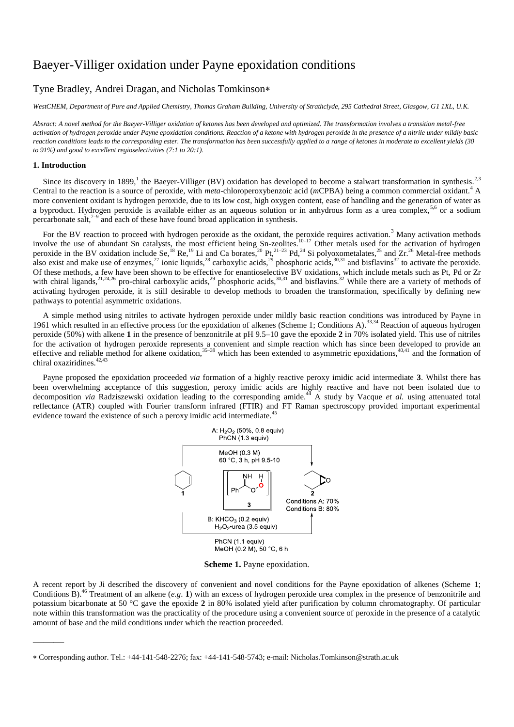# Baeyer-Villiger oxidation under Payne epoxidation conditions

# Tyne Bradley, Andrei Dragan, and Nicholas Tomkinson

*WestCHEM, Department of Pure and Applied Chemistry, Thomas Graham Building, University of Strathclyde, 295 Cathedral Street, Glasgow, G1 1XL, U.K.*

*Absract: A novel method for the Baeyer-Villiger oxidation of ketones has been developed and optimized. The transformation involves a transition metal-free activation of hydrogen peroxide under Payne epoxidation conditions. Reaction of a ketone with hydrogen peroxide in the presence of a nitrile under mildly basic reaction conditions leads to the corresponding ester. The transformation has been successfully applied to a range of ketones in moderate to excellent yields (30 to 91%) and good to excellent regioselectivities (7:1 to 20:1).*

#### **1. Introduction**

———

Since its discovery in 1899,<sup>1</sup> the Baeyer-Villiger (BV) oxidation has developed to become a stalwart transformation in synthesis.<sup>2,3</sup> Central to the reaction is a source of peroxide, with *meta*-chloroperoxybenzoic acid (*m*CPBA) being a common commercial oxidant.<sup>4</sup> A more convenient oxidant is hydrogen peroxide, due to its low cost, high oxygen content, ease of handling and the generation of water as a byproduct. Hydrogen peroxide is available either as an aqueous solution or in anhydrous form as a urea complex,<sup>5,6</sup> or a sodium percarbonate salt, $7-9$  and each of these have found broad application in synthesis.

For the BV reaction to proceed with hydrogen peroxide as the oxidant, the peroxide requires activation.<sup>3</sup> Many activation methods involve the use of abundant Sn catalysts, the most efficient being Sn-zeolites.<sup>10–17</sup> Other metals used for the activation of hydrogen peroxide in the BV oxidation include Se,<sup>18</sup> Re,<sup>19</sup> Li and Ca borates,<sup>20</sup> Pt,<sup>21–23</sup> Pd,<sup>24</sup> Si polyoxometalates,<sup>25</sup> and Zr.<sup>26</sup> Metal-free methods also exist and make use of enzymes,<sup>27</sup> ionic liquids,<sup>28</sup> carboxylic acids,<sup>29</sup> phosphoric acids,<sup>30,31</sup> and bisflavins<sup>32</sup> to activate the peroxide. Of these methods, a few have been shown to be effective for enantioselective BV oxidations, which include metals such as Pt, Pd or Zr with chiral ligands,<sup>21,24,26</sup> pro-chiral carboxylic acids,<sup>29</sup> phosphoric acids,<sup>30,31</sup> and bisflavins.<sup>32</sup> While there are a variety of methods of activating hydrogen peroxide, it is still desirable to develop methods to broaden the transformation, specifically by defining new pathways to potential asymmetric oxidations.

A simple method using nitriles to activate hydrogen peroxide under mildly basic reaction conditions was introduced by Payne in 1961 which resulted in an effective process for the epoxidation of alkenes (Scheme 1; Conditions A).<sup>33,34</sup> Reaction of aqueous hydrogen peroxide (50%) with alkene **1** in the presence of benzonitrile at pH 9.5–10 gave the epoxide **2** in 70% isolated yield. This use of nitriles for the activation of hydrogen peroxide represents a convenient and simple reaction which has since been developed to provide an effective and reliable method for alkene oxidation,  $35-39$  which has been extended to asymmetric epoxidations,  $40,41$  and the formation of chiral oxaziridines.<sup>42,43</sup>

Payne proposed the epoxidation proceeded *via* formation of a highly reactive peroxy imidic acid intermediate **3**. Whilst there has been overwhelming acceptance of this suggestion, peroxy imidic acids are highly reactive and have not been isolated due to decomposition *via* Radziszewski oxidation leading to the corresponding amide.<sup>44</sup> A study by Vacque *et al.* using attenuated total reflectance (ATR) coupled with Fourier transform infrared (FTIR) and FT Raman spectroscopy provided important experimental evidence toward the existence of such a peroxy imidic acid intermediate.<sup>45</sup>



**Scheme 1.** Payne epoxidation.

A recent report by Ji described the discovery of convenient and novel conditions for the Payne epoxidation of alkenes (Scheme 1; Conditions B).<sup>46</sup> Treatment of an alkene (*e.g*. **1**) with an excess of hydrogen peroxide urea complex in the presence of benzonitrile and potassium bicarbonate at 50 °C gave the epoxide **2** in 80% isolated yield after purification by column chromatography. Of particular note within this transformation was the practicality of the procedure using a convenient source of peroxide in the presence of a catalytic amount of base and the mild conditions under which the reaction proceeded.

Corresponding author. Tel.: +44-141-548-2276; fax: +44-141-548-5743; e-mail: Nicholas.Tomkinson@strath.ac.uk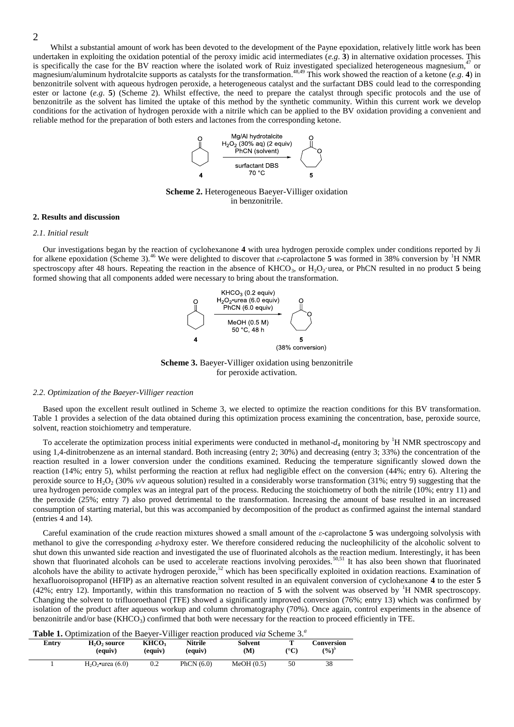Whilst a substantial amount of work has been devoted to the development of the Payne epoxidation, relatively little work has been undertaken in exploiting the oxidation potential of the peroxy imidic acid intermediates  $(e, g, 3)$  in alternative oxidation processes. This is specifically the case for the BV reaction where the isolated work of Ruiz investigated specialized heterogeneous magnesium,<sup>4</sup>  $\alpha$  or magnesium/aluminum hydrotalcite supports as catalysts for the transformation. 48,49 This work showed the reaction of a ketone (*e.g*. **4**) in benzonitrile solvent with aqueous hydrogen peroxide, a heterogeneous catalyst and the surfactant DBS could lead to the corresponding ester or lactone (*e.g.* 5) (Scheme 2). Whilst effective, the need to prepare the catalyst through specific protocols and the use of benzonitrile as the solvent has limited the uptake of this method by the synthetic community. Within this current work we develop conditions for the activation of hydrogen peroxide with a nitrile which can be applied to the BV oxidation providing a convenient and reliable method for the preparation of both esters and lactones from the corresponding ketone.



**Scheme 2.** Heterogeneous Baeyer-Villiger oxidation in benzonitrile.

#### **2. Results and discussion**

#### *2.1. Initial result*

Our investigations began by the reaction of cyclohexanone **4** with urea hydrogen peroxide complex under conditions reported by Ji for alkene epoxidation (Scheme 3).<sup>46</sup> We were delighted to discover that *ε*-caprolactone **5** was formed in 38% conversion by <sup>1</sup>H NMR spectroscopy after 48 hours. Repeating the reaction in the absence of  $KHCO<sub>3</sub>$ , or  $H<sub>2</sub>O<sub>2</sub>$  urea, or PhCN resulted in no product 5 being formed showing that all components added were necessary to bring about the transformation.



**Scheme 3.** Baeyer-Villiger oxidation using benzonitrile for peroxide activation.

#### *2.2. Optimization of the Baeyer-Villiger reaction*

Based upon the excellent result outlined in Scheme 3, we elected to optimize the reaction conditions for this BV transformation. Table 1 provides a selection of the data obtained during this optimization process examining the concentration, base, peroxide source, solvent, reaction stoichiometry and temperature.

To accelerate the optimization process initial experiments were conducted in methanol- $d_4$  monitoring by <sup>1</sup>H NMR spectroscopy and using 1,4-dinitrobenzene as an internal standard. Both increasing (entry 2; 30%) and decreasing (entry 3; 33%) the concentration of the reaction resulted in a lower conversion under the conditions examined. Reducing the temperature significantly slowed down the reaction (14%; entry 5), whilst performing the reaction at reflux had negligible effect on the conversion (44%; entry 6). Altering the peroxide source to H2O<sup>2</sup> (30% *v/v* aqueous solution) resulted in a considerably worse transformation (31%; entry 9) suggesting that the urea hydrogen peroxide complex was an integral part of the process. Reducing the stoichiometry of both the nitrile (10%; entry 11) and the peroxide (25%; entry 7) also proved detrimental to the transformation. Increasing the amount of base resulted in an increased consumption of starting material, but this was accompanied by decomposition of the product as confirmed against the internal standard (entries 4 and 14).

Careful examination of the crude reaction mixtures showed a small amount of the *ε*-caprolactone **5** was undergoing solvolysis with methanol to give the corresponding  $\varepsilon$ -hydroxy ester. We therefore considered reducing the nucleophilicity of the alcoholic solvent to shut down this unwanted side reaction and investigated the use of fluorinated alcohols as the reaction medium. Interestingly, it has been shown that fluorinated alcohols can be used to accelerate reactions involving peroxides.<sup>50,51</sup> It has also been shown that fluorinated alcohols have the ability to activate hydrogen peroxide,<sup>52</sup> which has been specifically exploited in oxidation reactions. Examination of hexafluoroisopropanol (HFIP) as an alternative reaction solvent resulted in an equivalent conversion of cyclohexanone **4** to the ester **5** (42%; entry 12). Importantly, within this transformation no reaction of  $5$  with the solvent was observed by <sup>1</sup>H NMR spectroscopy. Changing the solvent to trifluoroethanol (TFE) showed a significantly improved conversion (76%; entry 13) which was confirmed by isolation of the product after aqueous workup and column chromatography (70%). Once again, control experiments in the absence of benzonitrile and/or base  $(KHCO<sub>3</sub>)$  confirmed that both were necessary for the reaction to proceed efficiently in TFE.

**Table 1.** Optimization of the Baeyer-Villiger reaction produced *via* Scheme 3.*<sup>a</sup>*

| Entrv | $H2O2$ source<br>(equiv) | KHCO <sub>2</sub><br>(equiv) | <b>Nitrile</b><br>(equiv) | Solvent<br>(M) | ${}^{\circ}C$ | Conversion<br>$(\%)^b$ |
|-------|--------------------------|------------------------------|---------------------------|----------------|---------------|------------------------|
|       | $H_2O_2$ •urea (6.0)     | 0.2                          | PhCN $(6.0)$              | MeOH(0.5)      | 50            | 38                     |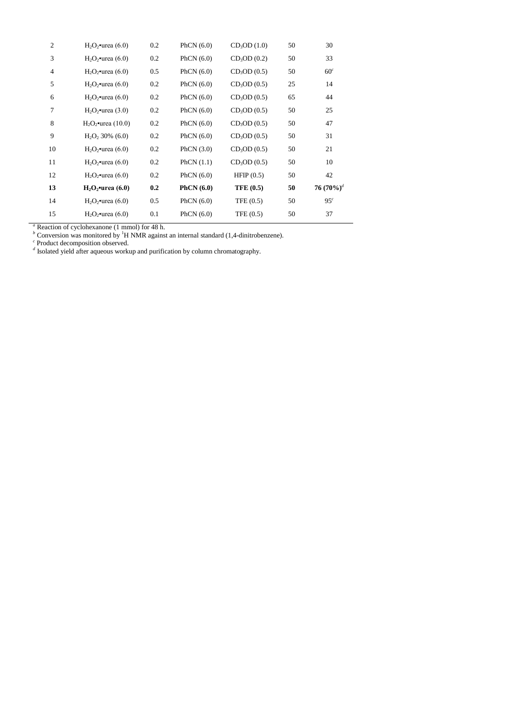| $\mathfrak{2}$ | $H2O2$ •urea (6.0)    | 0.2 | PhCN $(6.0)$ | CD <sub>3</sub> OD(1.0)  | 50 | 30              |
|----------------|-----------------------|-----|--------------|--------------------------|----|-----------------|
| 3              | $H_2O_2$ •urea (6.0)  | 0.2 | PhCN $(6.0)$ | CD <sub>3</sub> OD(0.2)  | 50 | 33              |
| $\overline{4}$ | $H_2O_2$ •urea (6.0)  | 0.5 | PhCN $(6.0)$ | CD <sub>3</sub> OD(0.5)  | 50 | 60 <sup>c</sup> |
| 5              | $H_2O_2$ •urea (6.0)  | 0.2 | PhCN $(6.0)$ | CD <sub>3</sub> OD(0.5)  | 25 | 14              |
| 6              | $H_2O_2$ •urea (6.0)  | 0.2 | PhCN $(6.0)$ | CD <sub>3</sub> OD (0.5) | 65 | 44              |
| 7              | $H_2O_2$ •urea (3.0)  | 0.2 | PhCN $(6.0)$ | CD <sub>3</sub> OD(0.5)  | 50 | 25              |
| 8              | $H_2O_2$ •urea (10.0) | 0.2 | PhCN $(6.0)$ | CD <sub>3</sub> OD (0.5) | 50 | 47              |
| 9              | $H_2O_2$ , 30% (6.0)  | 0.2 | PhCN $(6.0)$ | CD <sub>3</sub> OD(0.5)  | 50 | 31              |
| 10             | $H_2O_2$ •urea (6.0)  | 0.2 | PhCN $(3.0)$ | CD <sub>3</sub> OD(0.5)  | 50 | 21              |
| 11             | $H_2O_2$ •urea (6.0)  | 0.2 | PhCN $(1.1)$ | CD <sub>3</sub> OD(0.5)  | 50 | 10              |
| 12             | $H_2O_2$ •urea (6.0)  | 0.2 | PhCN $(6.0)$ | HFIP $(0.5)$             | 50 | 42              |
| 13             | $H2O2$ •urea (6.0)    | 0.2 | PhCN $(6.0)$ | <b>TFE (0.5)</b>         | 50 | 76 $(70\%)^4$   |
| 14             | $H_2O_2$ •urea (6.0)  | 0.5 | PhCN $(6.0)$ | TFE $(0.5)$              | 50 | 95 <sup>c</sup> |
| 15             | $H2O2$ •urea (6.0)    | 0.1 | PhCN $(6.0)$ | TFE $(0.5)$              | 50 | 37              |
|                |                       |     |              |                          |    |                 |

*<sup>a</sup>* Reaction of cyclohexanone (1 mmol) for 48 h.

*<sup>b</sup>* Conversion was monitored by <sup>1</sup>H NMR against an internal standard (1,4-dinitrobenzene). *c* Product decomposition observed. *d* Isolated yield after aqueous workup and purification by column chromatography.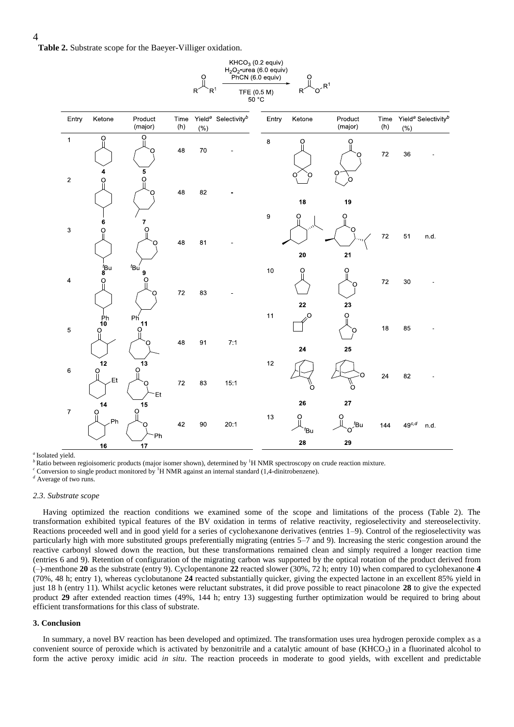**Table 2.** Substrate scope for the Baeyer-Villiger oxidation.



 $KHCO<sub>3</sub>$  (0.2 equiv)

#### *a* Isolated yield.

*b* Ratio between regioisomeric products (major isomer shown), determined by <sup>1</sup>H NMR spectroscopy on crude reaction mixture.

 $c^c$  Conversion to single product monitored by <sup>1</sup>H NMR against an internal standard (1,4-dinitrobenzene).

*<sup>d</sup>* Average of two runs.

#### *2.3. Substrate scope*

Having optimized the reaction conditions we examined some of the scope and limitations of the process (Table 2). The transformation exhibited typical features of the BV oxidation in terms of relative reactivity, regioselectivity and stereoselectivity. Reactions proceeded well and in good yield for a series of cyclohexanone derivatives (entries 1–9). Control of the regioselectivity was particularly high with more substituted groups preferentially migrating (entries 5–7 and 9). Increasing the steric congestion around the reactive carbonyl slowed down the reaction, but these transformations remained clean and simply required a longer reaction time (entries 6 and 9). Retention of configuration of the migrating carbon was supported by the optical rotation of the product derived from (–)-menthone **20** as the substrate (entry 9). Cyclopentanone **22** reacted slower (30%, 72 h; entry 10) when compared to cyclohexanone **4** (70%, 48 h; entry 1), whereas cyclobutanone **24** reacted substantially quicker, giving the expected lactone in an excellent 85% yield in just 18 h (entry 11). Whilst acyclic ketones were reluctant substrates, it did prove possible to react pinacolone **28** to give the expected product **29** after extended reaction times (49%, 144 h; entry 13) suggesting further optimization would be required to bring about efficient transformations for this class of substrate.

#### **3. Conclusion**

In summary, a novel BV reaction has been developed and optimized. The transformation uses urea hydrogen peroxide complex as a convenient source of peroxide which is activated by benzonitrile and a catalytic amount of base (KHCO $_3$ ) in a fluorinated alcohol to form the active peroxy imidic acid *in situ*. The reaction proceeds in moderate to good yields, with excellent and predictable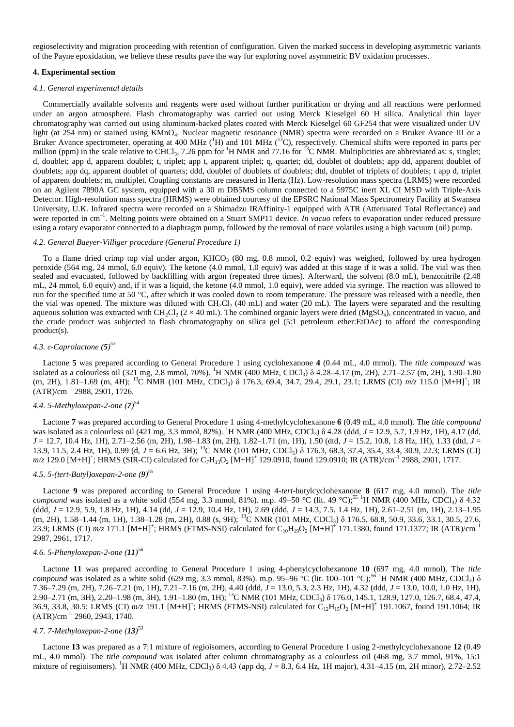regioselectivity and migration proceeding with retention of configuration. Given the marked success in developing asymmetric variants of the Payne epoxidation, we believe these results pave the way for exploring novel asymmetric BV oxidation processes.

### **4. Experimental section**

#### *4.1. General experimental details*

Commercially available solvents and reagents were used without further purification or drying and all reactions were performed under an argon atmosphere. Flash chromatography was carried out using Merck Kieselgel 60 H silica. Analytical thin layer chromatography was carried out using aluminum-backed plates coated with Merck Kieselgel 60 GF254 that were visualized under UV light (at 254 nm) or stained using KMnO<sub>4</sub>. Nuclear magnetic resonance (NMR) spectra were recorded on a Bruker Avance III or a Bruker Avance spectrometer, operating at 400 MHz ( ${}^{1}H$ ) and 101 MHz ( ${}^{13}C$ ), respectively. Chemical shifts were reported in parts per million (ppm) in the scale relative to CHCl<sub>3</sub>, 7.26 ppm for <sup>1</sup>H NMR and 77.16 for <sup>13</sup>C NMR. Multiplicities are abbreviated as: s, singlet; d, doublet; app d, apparent doublet; t, triplet; app t, apparent triplet; q, quartet; dd, doublet of doublets; app dd, apparent doublet of doublets; app dq, apparent doublet of quartets; ddd, doublet of doublets of doublets; dtd, doublet of triplets of doublets; t app d, triplet of apparent doublets; m, multiplet. Coupling constants are measured in Hertz (Hz). Low-resolution mass spectra (LRMS) were recorded on an Agilent 7890A GC system, equipped with a 30 m DB5MS column connected to a 5975C inert XL CI MSD with Triple-Axis Detector. High-resolution mass spectra (HRMS) were obtained courtesy of the EPSRC National Mass Spectrometry Facility at Swansea University, U.K. Infrared spectra were recorded on a Shimadzu IRAffinity-1 equipped with ATR (Attenuated Total Reflectance) and were reported in cm<sup>-1</sup>. Melting points were obtained on a Stuart SMP11 device. *In vacuo* refers to evaporation under reduced pressure using a rotary evaporator connected to a diaphragm pump, followed by the removal of trace volatiles using a high vacuum (oil) pump.

### *4.2. General Baeyer-Villiger procedure (General Procedure 1)*

To a flame dried crimp top vial under argon,  $KHCO<sub>3</sub>$  (80 mg, 0.8 mmol, 0.2 equiv) was weighed, followed by urea hydrogen peroxide (564 mg, 24 mmol, 6.0 equiv). The ketone (4.0 mmol, 1.0 equiv) was added at this stage if it was a solid. The vial was then sealed and evacuated, followed by backfilling with argon (repeated three times). Afterward, the solvent (8.0 mL), benzonitrile (2.48 mL, 24 mmol, 6.0 equiv) and, if it was a liquid, the ketone (4.0 mmol, 1.0 equiv), were added via syringe. The reaction was allowed to run for the specified time at 50 °C, after which it was cooled down to room temperature. The pressure was released with a needle, then the vial was opened. The mixture was diluted with  $CH_2Cl_2$  (40 mL) and water (20 mL). The layers were separated and the resulting aqueous solution was extracted with CH<sub>2</sub>Cl<sub>2</sub> (2 × 40 mL). The combined organic layers were dried (MgSO<sub>4</sub>), concentrated in vacuo, and the crude product was subjected to flash chromatography on silica gel (5:1 petroleum ether:EtOAc) to afford the corresponding product(s).

# *4.3. ε-Caprolactone (5)* 53

Lactone **5** was prepared according to General Procedure 1 using cyclohexanone **4** (0.44 mL, 4.0 mmol). The *title compound* was isolated as a colourless oil (321 mg, 2.8 mmol, 70%). <sup>1</sup>H NMR (400 MHz, CDCl<sub>3</sub>) δ 4.28–4.17 (m, 2H), 2.71–2.57 (m, 2H), 1.90–1.80 (m, 2H), 1.81–1.69 (m, 4H); <sup>13</sup>C NMR (101 MHz, CDCl<sub>3</sub>) δ 176.3, 69.4, 34.7, 29.4, 29.1, 23.1; LRMS (CI) *m/z* 115.0 [M+H]<sup>+</sup>; IR  $(ATR)/cm^{-1}$  2988, 2901, 1726.

# *4.4. 5-Methyloxepan-2-one (7)* 54

Lactone **7** was prepared according to General Procedure 1 using 4-methylcyclohexanone **6** (0.49 mL, 4.0 mmol). The *title compound* was isolated as a colourless oil (421 mg, 3.3 mmol, 82%). <sup>1</sup>H NMR (400 MHz, CDCl<sub>3</sub>) δ 4.28 (ddd, *J* = 12.9, 5.7, 1.9 Hz, 1H), 4.17 (dd, *J* = 12.7, 10.4 Hz, 1H), 2.71–2.56 (m, 2H), 1.98–1.83 (m, 2H), 1.82–1.71 (m, 1H), 1.50 (dtd, *J* = 15.2, 10.8, 1.8 Hz, 1H), 1.33 (dtd, *J* = 13.9, 11.5, 2.4 Hz, 1H), 0.99 (d, *J* = 6.6 Hz, 3H); <sup>13</sup>C NMR (101 MHz, CDCl<sub>3</sub>) δ 176.3, 68.3, 37.4, 35.4, 33.4, 30.9, 22.3; LRMS (CI)  $m/z$  129.0 [M+H]<sup>+</sup>; HRMS (SIR-CI) calculated for C<sub>7</sub>H<sub>13</sub>O<sub>2</sub> [M+H]<sup>+</sup> 129.0910, found 129.0910; IR (ATR)/cm<sup>-1</sup> 2988, 2901, 1717.

# *4.5. 5-(tert-Butyl)oxepan-2-one (9)* 55

Lactone **9** was prepared according to General Procedure 1 using 4-*tert*-butylcyclohexanone **8** (617 mg, 4.0 mmol). The *title compound* was isolated as a white solid (554 mg, 3.3 mmol, 81%). m.p. 49–50 °C (lit. 49 °C);<sup>55</sup> <sup>1</sup>H NMR (400 MHz, CDCl<sub>3</sub>) δ 4.32 (ddd, *J* = 12.9, 5.9, 1.8 Hz, 1H), 4.14 (dd, *J* = 12.9, 10.4 Hz, 1H), 2.69 (ddd, *J* = 14.3, 7.5, 1.4 Hz, 1H), 2.61–2.51 (m, 1H), 2.13–1.95 (m, 2H), 1.58–1.44 (m, 1H), 1.38–1.28 (m, 2H), 0.88 (s, 9H); <sup>13</sup>C NMR (101 MHz, CDCl3) δ 176.5, 68.8, 50.9, 33.6, 33.1, 30.5, 27.6, 23.9; LRMS (CI)  $m/z$  171.1 [M+H]<sup>+</sup>; HRMS (FTMS-NSI) calculated for C<sub>10</sub>H<sub>19</sub>O<sub>2</sub> [M+H]<sup>+</sup> 171.1380, found 171.1377; IR (ATR)/cm<sup>-1</sup> 2987, 2961, 1717.

# *4.6. 5-Phenyloxepan-2-one (11)* 56

Lactone **11** was prepared according to General Procedure 1 using 4-phenylcyclohexanone **10** (697 mg, 4.0 mmol). The *title compound* was isolated as a white solid (629 mg, 3.3 mmol, 83%). m.p. 95–96 °C (lit. 100–101 °C);<sup>56</sup> <sup>1</sup>H NMR (400 MHz, CDCl<sub>3</sub>) δ 7.36–7.29 (m, 2H), 7.26–7.21 (m, 1H), 7.21–7.16 (m, 2H), 4.40 (ddd, *J* = 13.0, 5.3, 2.3 Hz, 1H), 4.32 (ddd, *J* = 13.0, 10.0, 1.0 Hz, 1H), 2.90–2.71 (m, 3H), 2.20–1.98 (m, 3H), 1.91–1.80 (m, 1H); <sup>13</sup>C NMR (101 MHz, CDCl3) δ 176.0, 145.1, 128.9, 127.0, 126.7, 68.4, 47.4, 36.9, 33.8, 30.5; LRMS (CI)  $m/z$  191.1 [M+H]<sup>+</sup>; HRMS (FTMS-NSI) calculated for  $C_{12}H_{15}O_2$  [M+H]<sup>+</sup> 191.1067, found 191.1064; IR  $(ATR)/cm^{-1}$  2960, 2943, 1740.

# *4.7. 7-Methyloxepan-2-one (13)* 53

Lactone **13** was prepared as a 7:1 mixture of regioisomers, according to General Procedure 1 using 2-methylcyclohexanone **12** (0.49 mL, 4.0 mmol). The *title compound* was isolated after column chromatography as a colourless oil (468 mg, 3.7 mmol, 91%, 15:1 mixture of regioisomers). <sup>1</sup>H NMR (400 MHz, CDCl<sub>3</sub>) δ 4.43 (app dq, *J* = 8.3, 6.4 Hz, 1H major), 4.31–4.15 (m, 2H minor), 2.72–2.52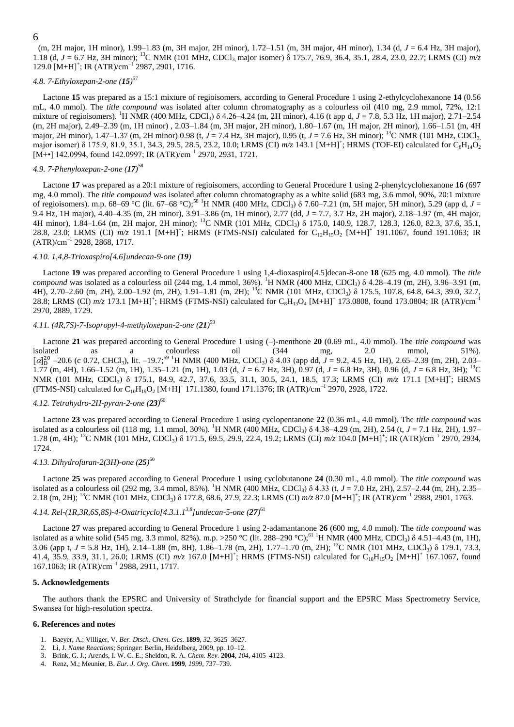(m, 2H major, 1H minor), 1.99–1.83 (m, 3H major, 2H minor), 1.72–1.51 (m, 3H major, 4H minor), 1.34 (d, *J* = 6.4 Hz, 3H major), 1.18 (d, *J* = 6.7 Hz, 3H minor); <sup>13</sup>C NMR (101 MHz, CDCl<sub>3</sub> major isomer) δ 175.7, 76.9, 36.4, 35.1, 28.4, 23.0, 22.7; LRMS (CI) *m/z*  $129.0$  [M+H]<sup>+</sup>; IR (ATR)/cm<sup>-1</sup> 2987, 2901, 1716.

# *4.8. 7-Ethyloxepan-2-one (15)* 57

Lactone **15** was prepared as a 15:1 mixture of regioisomers, according to General Procedure 1 using 2-ethylcyclohexanone **14** (0.56 mL, 4.0 mmol). The *title compound* was isolated after column chromatography as a colourless oil (410 mg, 2.9 mmol, 72%, 12:1 mixture of regioisomers). <sup>1</sup>H NMR (400 MHz, CDCl<sub>3</sub>)  $\delta$  4.26–4.24 (m, 2H minor), 4.16 (t app d, *J* = 7.8, 5.3 Hz, 1H major), 2.71–2.54 (m, 2H major), 2.49–2.39 (m, 1H minor) , 2.03–1.84 (m, 3H major, 2H minor), 1.80–1.67 (m, 1H major, 2H minor), 1.66–1.51 (m, 4H major, 2H minor), 1.47–1.37 (m, 2H minor) 0.98 (t, *J* = 7.4 Hz, 3H major), 0.95 (t, *J* = 7.6 Hz, 3H minor); <sup>13</sup>C NMR (101 MHz, CDCl<sub>3,</sub> major isomer) δ 175.9, 81.9, 35.1, 34.3, 29.5, 28.5, 23.2, 10.0; LRMS (CI)  $m/z$  143.1 [M+H]<sup>+</sup>; HRMS (TOF-EI) calculated for C<sub>8</sub>H<sub>14</sub>O<sub>2</sub> [M+•] 142.0994, found 142.0997; IR (ATR)/cm<sup>-1</sup> 2970, 2931, 1721.

# *4.9. 7-Phenyloxepan-2-one (17)* 58

Lactone **17** was prepared as a 20:1 mixture of regioisomers, according to General Procedure 1 using 2-phenylcyclohexanone **16** (697 mg, 4.0 mmol). The *title compound* was isolated after column chromatography as a white solid (683 mg, 3.6 mmol, 90%, 20:1 mixture of regioisomers). m.p. 68–69 °C (lit. 67–68 °C);<sup>58</sup> <sup>1</sup>H NMR (400 MHz, CDCl<sub>3</sub>)  $\delta$  7.60–7.21 (m, 5H major, 5H minor), 5.29 (app d, *J* = 9.4 Hz, 1H major), 4.40–4.35 (m, 2H minor), 3.91–3.86 (m, 1H minor), 2.77 (dd, *J* = 7.7, 3.7 Hz, 2H major), 2.18–1.97 (m, 4H major, 4H minor), 1.84–1.64 (m, 2H major, 2H minor); <sup>13</sup>C NMR (101 MHz, CDCl<sub>3</sub>) δ 175.0, 140.9, 128.7, 128.3, 126.0, 82.3, 37.6, 35.1, 28.8, 23.0; LRMS (CI)  $m/z$  191.1 [M+H]<sup>+</sup>; HRMS (FTMS-NSI) calculated for C<sub>12</sub>H<sub>15</sub>O<sub>2</sub> [M+H]<sup>+</sup> 191.1067, found 191.1063; IR  $(ATR)/cm^{-1}$  2928, 2868, 1717.

#### *4.10. 1,4,8-Trioxaspiro[4.6]undecan-9-one (19)*

Lactone **19** was prepared according to General Procedure 1 using 1,4-dioxaspiro[4.5]decan-8-one **18** (625 mg, 4.0 mmol). The *title compound* was isolated as a colourless oil (244 mg, 1.4 mmol, 36%). <sup>1</sup>H NMR (400 MHz, CDCl<sub>3</sub>) δ 4.28–4.19 (m, 2H), 3.96–3.91 (m, 4H), 2.70–2.60 (m, 2H), 2.00–1.92 (m, 2H), 1.91–1.81 (m, 2H); <sup>13</sup>C NMR (101 MHz, CDCl<sub>3</sub>) δ 175.5, 107.8, 64.8, 64.3, 39.0, 32.7, 28.8; LRMS (CI)  $m/z$  173.1 [M+H]<sup>+</sup>; HRMS (FTMS-NSI) calculated for  $C_8H_{13}O_4$  [M+H]<sup>+</sup> 173.0808, found 173.0804; IR (ATR)/cm<sup>-1</sup> 2970, 2889, 1729.

# *4.11. (4R,7S)-7-Isopropyl-4-methyloxepan-2-one (21)* 59

Lactone **21** was prepared according to General Procedure 1 using (–)-menthone **20** (0.69 mL, 4.0 mmol). The *title compound* was isolated as a colourless oil (344 mg, 2.0 mmol, 51%).  $[\alpha]_D^{20}$  –20.6 (c 0.72, CHCl<sub>3</sub>), lit. –19.7<sup>59</sup> <sup>1</sup>H NMR (400 MHz, CDCl<sub>3</sub>) δ 4.03 (app dd, *J* = 9.2, 4.5 Hz, 1H), 2.65–2.39 (m, 2H), 2.03– 1.77 (m, 4H), 1.66–1.52 (m, 1H), 1.35–1.21 (m, 1H), 1.03 (d, *J* = 6.7 Hz, 3H), 0.97 (d, *J* = 6.8 Hz, 3H), 0.96 (d, *J* = 6.8 Hz, 3H); <sup>13</sup>C NMR (101 MHz, CDCl<sub>3</sub>) δ 175.1, 84.9, 42.7, 37.6, 33.5, 31.1, 30.5, 24.1, 18.5, 17.3; LRMS (CI) *m/z* 171.1 [M+H]<sup>+</sup>; HRMS (FTMS-NSI) calculated for  $C_{10}H_{19}O_2$  [M+H]<sup>+</sup> 171.1380, found 171.1376; IR (ATR)/cm<sup>-1</sup> 2970, 2928, 1722.

# *4.12. Tetrahydro-2H-pyran-2-one (23)* 60

Lactone **23** was prepared according to General Procedure 1 using cyclopentanone **22** (0.36 mL, 4.0 mmol). The *title compound* was isolated as a colourless oil (118 mg, 1.1 mmol, 30%). <sup>1</sup>H NMR (400 MHz, CDCl<sub>3</sub>) δ 4.38–4.29 (m, 2H), 2.54 (t, *J* = 7.1 Hz, 2H), 1.97– 1.78 (m, 4H); <sup>13</sup>C NMR (101 MHz, CDCl<sub>3</sub>) δ 171.5, 69.5, 29.9, 22.4, 19.2; LRMS (CI)  $m/z$  104.0 [M+H]<sup>+</sup>; IR (ATR)/cm<sup>-1</sup> 2970, 2934, 1724.

# *4.13. Dihydrofuran-2(3H)-one (25)* 60

Lactone **25** was prepared according to General Procedure 1 using cyclobutanone **24** (0.30 mL, 4.0 mmol). The *title compound* was isolated as a colourless oil (292 mg, 3.4 mmol, 85%). <sup>1</sup>H NMR (400 MHz, CDCl<sub>3</sub>) δ 4.33 (t, *J* = 7.0 Hz, 2H), 2.57–2.44 (m, 2H), 2.35– 2.18 (m, 2H); <sup>13</sup>C NMR (101 MHz, CDCl<sub>3</sub>) δ 177.8, 68.6, 27.9, 22.3; LRMS (CI) *m/z* 87.0 [M+H]<sup>+</sup>; IR (ATR)/cm<sup>-1</sup> 2988, 2901, 1763.

# *4.14. Rel-(1R,3R,6S,8S)-4-Oxatricyclo[4.3.1.13,8]undecan-5-one (27)* 61

Lactone **27** was prepared according to General Procedure 1 using 2-adamantanone **26** (600 mg, 4.0 mmol). The *title compound* was isolated as a white solid (545 mg, 3.3 mmol, 82%). m.p. >250 °C (lit. 288–290 °C);<sup>61</sup> <sup>1</sup>H NMR (400 MHz, CDCl<sub>3</sub>) δ 4.51–4.43 (m, 1H), 3.06 (app t, *J* = 5.8 Hz, 1H), 2.14–1.88 (m, 8H), 1.86–1.78 (m, 2H), 1.77–1.70 (m, 2H); <sup>13</sup>C NMR (101 MHz, CDCl3) δ 179.1, 73.3, 41.4, 35.9, 33.9, 31.1, 26.0; LRMS (CI)  $m/z$  167.0 [M+H]<sup>+</sup>; HRMS (FTMS-NSI) calculated for C<sub>10</sub>H<sub>15</sub>O<sub>2</sub> [M+H]<sup>+</sup> 167.1067, found 167.1063; IR (ATR)/cm–1 2988, 2911, 1717.

#### **5. Acknowledgements**

The authors thank the EPSRC and University of Strathclyde for financial support and the EPSRC Mass Spectrometry Service, Swansea for high-resolution spectra.

#### **6. References and notes**

- 1. Baeyer, A.; Villiger, V. *Ber. Dtsch. Chem. Ges.* **1899**, *32*, 3625–3627.
- 2. Li, J. *Name Reactions*; Springer: Berlin, Heidelberg, 2009, pp. 10–12.
- 3. Brink, G. J.; Arends, I. W. C. E.; Sheldon, R. A. *Chem. Rev.* **2004**, *104*, 4105–4123.
- 4. Renz, M.; Meunier, B. *Eur. J. Org. Chem.* **1999**, *1999*, 737–739.